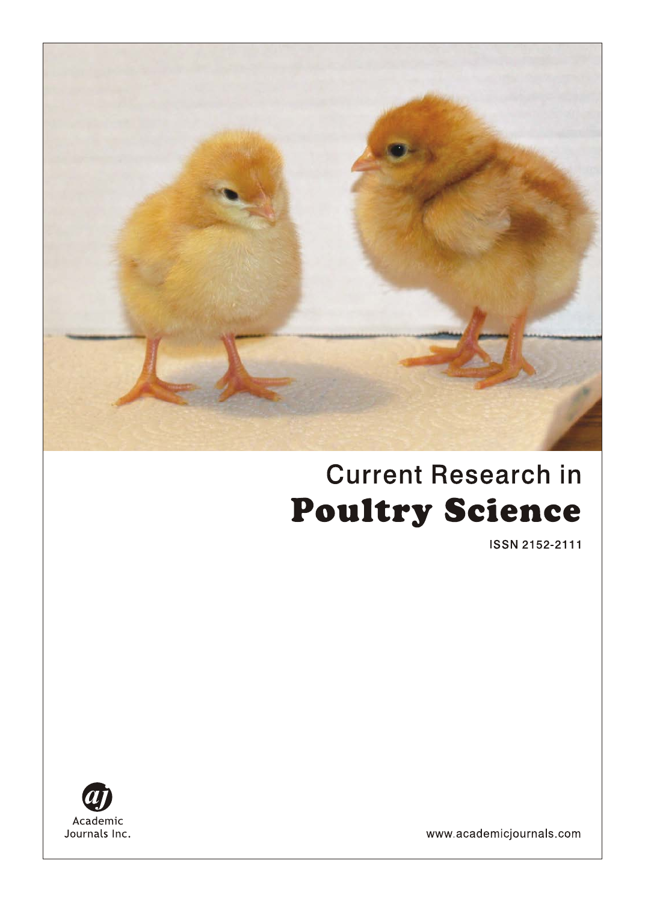

# **Current Research in Poultry Science**

ISSN 2152-2111



www.academicjournals.com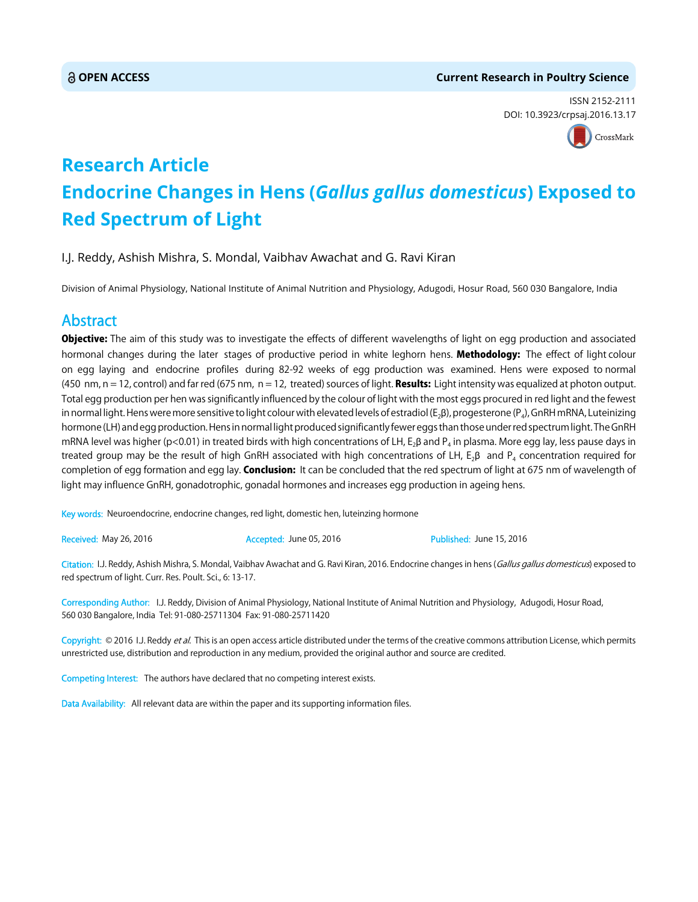#### **OPEN ACCESS Current Research in Poultry Science**

ISSN 2152-2111 DOI: 10.3923/crpsaj.2016.13.17



## **Research Article Endocrine Changes in Hens (***Gallus gallus domesticus***) Exposed to Red Spectrum of Light**

I.J. Reddy, Ashish Mishra, S. Mondal, Vaibhav Awachat and G. Ravi Kiran

Division of Animal Physiology, National Institute of Animal Nutrition and Physiology, Adugodi, Hosur Road, 560 030 Bangalore, India

### Abstract

Objective: The aim of this study was to investigate the effects of different wavelengths of light on egg production and associated hormonal changes during the later stages of productive period in white leghorn hens. Methodology: The effect of light colour on egg laying and endocrine profiles during 82-92 weeks of egg production was examined. Hens were exposed to normal (450 nm,  $n = 12$ , control) and far red (675 nm,  $n = 12$ , treated) sources of light. **Results:** Light intensity was equalized at photon output. Total egg production per hen was significantly influenced by the colour of light with the most eggs procured in red light and the fewest in normal light. Hens were more sensitive to light colour with elevated levels of estradiol ( $E_2B$ ), progesterone ( $P_4$ ), GnRH mRNA, Luteinizing hormone (LH) and egg production. Hens in normal light produced significantly fewer eggs than those under red spectrum light. The GnRH mRNA level was higher (p<0.01) in treated birds with high concentrations of LH, E<sub>2</sub>B and P<sub>4</sub> in plasma. More egg lay, less pause days in treated group may be the result of high GnRH associated with high concentrations of LH,  $E_2\beta$  and  $P_4$  concentration required for completion of egg formation and egg lay. Conclusion: It can be concluded that the red spectrum of light at 675 nm of wavelength of light may influence GnRH, gonadotrophic, gonadal hormones and increases egg production in ageing hens.

Key words: Neuroendocrine, endocrine changes, red light, domestic hen, luteinzing hormone

Received: May 26, 2016 **Accepted: June 05, 2016** Published: June 15, 2016

Citation: I.J. Reddy, Ashish Mishra, S. Mondal, Vaibhav Awachat and G. Ravi Kiran, 2016. Endocrine changes in hens (Gallus gallus domesticus) exposed to red spectrum of light. Curr. Res. Poult. Sci., 6: 13-17.

Corresponding Author: I.J. Reddy, Division of Animal Physiology, National Institute of Animal Nutrition and Physiology, Adugodi, Hosur Road, 560 030 Bangalore, India Tel: 91-080-25711304 Fax: 91-080-25711420

Copyright: © 2016 I.J. Reddy et al. This is an open access article distributed under the terms of the creative commons attribution License, which permits unrestricted use, distribution and reproduction in any medium, provided the original author and source are credited.

Competing Interest: The authors have declared that no competing interest exists.

Data Availability: All relevant data are within the paper and its supporting information files.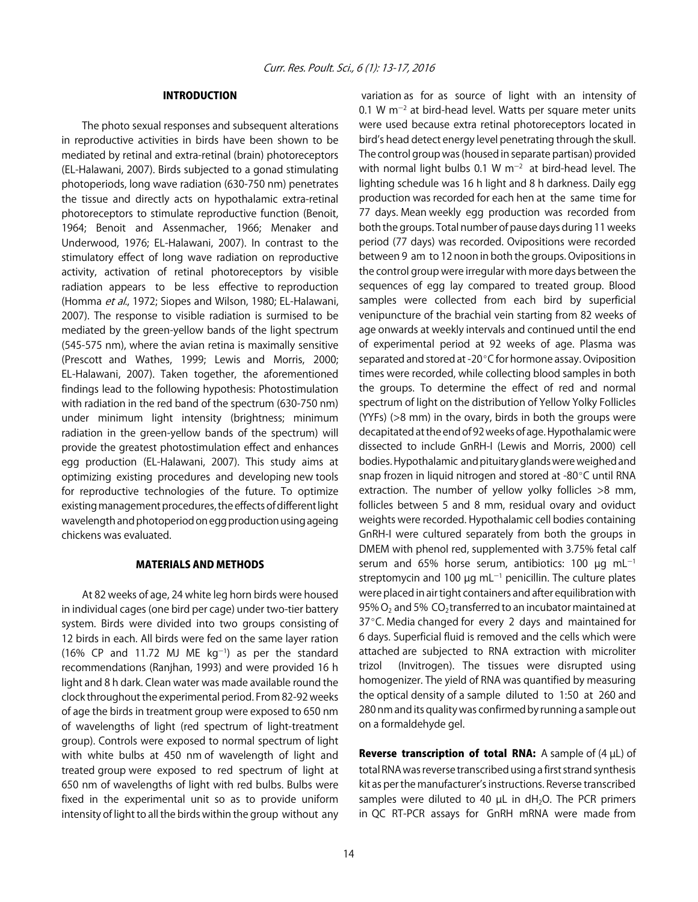#### INTRODUCTION

The photo sexual responses and subsequent alterations in reproductive activities in birds have been shown to be mediated by retinal and extra-retinal (brain) photoreceptors (EL-Halawani, 2007). Birds subjected to a gonad stimulating photoperiods, long wave radiation (630-750 nm) penetrates the tissue and directly acts on hypothalamic extra-retinal photoreceptors to stimulate reproductive function (Benoit, 1964; Benoit and Assenmacher, 1966; Menaker and Underwood, 1976; EL-Halawani, 2007). In contrast to the stimulatory effect of long wave radiation on reproductive activity, activation of retinal photoreceptors by visible radiation appears to be less effective to reproduction (Homma et al., 1972; Siopes and Wilson, 1980; EL-Halawani, 2007). The response to visible radiation is surmised to be mediated by the green-yellow bands of the light spectrum (545-575 nm), where the avian retina is maximally sensitive (Prescott and Wathes, 1999; Lewis and Morris, 2000; EL-Halawani, 2007). Taken together, the aforementioned findings lead to the following hypothesis: Photostimulation with radiation in the red band of the spectrum (630-750 nm) under minimum light intensity (brightness; minimum radiation in the green-yellow bands of the spectrum) will provide the greatest photostimulation effect and enhances egg production (EL-Halawani, 2007). This study aims at optimizing existing procedures and developing new tools for reproductive technologies of the future. To optimize existing management procedures, the effects of different light wavelength and photoperiod on egg production using ageing chickens was evaluated.

#### MATERIALS AND METHODS

At 82 weeks of age, 24 white leg horn birds were housed in individual cages (one bird per cage) under two-tier battery system. Birds were divided into two groups consisting of 12 birds in each. All birds were fed on the same layer ration  $(16\%$  CP and 11.72 MJ ME  $kg^{-1}$ ) as per the standard recommendations (Ranjhan, 1993) and were provided 16 h light and 8 h dark. Clean water was made available round the clock throughout the experimental period. From 82-92 weeks of age the birds in treatment group were exposed to 650 nm of wavelengths of light (red spectrum of light-treatment group). Controls were exposed to normal spectrum of light with white bulbs at 450 nm of wavelength of light and treated group were exposed to red spectrum of light at 650 nm of wavelengths of light with red bulbs. Bulbs were fixed in the experimental unit so as to provide uniform intensity of light to all the birds within the group without any

 variation as for as source of light with an intensity of 0.1 W m<sup>-2</sup> at bird-head level. Watts per square meter units were used because extra retinal photoreceptors located in bird's head detect energy level penetrating through the skull. The control group was (housed in separate partisan) provided with normal light bulbs 0.1 W  $m^{-2}$  at bird-head level. The lighting schedule was 16 h light and 8 h darkness. Daily egg production was recorded for each hen at the same time for 77 days. Mean weekly egg production was recorded from both the groups. Total number of pause days during 11 weeks period (77 days) was recorded. Ovipositions were recorded between 9 am to 12 noon in both the groups. Ovipositions in the control group were irregular with more days between the sequences of egg lay compared to treated group. Blood samples were collected from each bird by superficial venipuncture of the brachial vein starting from 82 weeks of age onwards at weekly intervals and continued until the end of experimental period at 92 weeks of age. Plasma was separated and stored at -20°C for hormone assay. Oviposition times were recorded, while collecting blood samples in both the groups. To determine the effect of red and normal spectrum of light on the distribution of Yellow Yolky Follicles (YYFs) (>8 mm) in the ovary, birds in both the groups were decapitated at the end of 92 weeks of age. Hypothalamic were dissected to include GnRH-I (Lewis and Morris, 2000) cell bodies. Hypothalamic and pituitary glands were weighed and snap frozen in liquid nitrogen and stored at -80°C until RNA extraction. The number of yellow yolky follicles >8 mm, follicles between 5 and 8 mm, residual ovary and oviduct weights were recorded. Hypothalamic cell bodies containing GnRH-I were cultured separately from both the groups in DMEM with phenol red, supplemented with 3.75% fetal calf serum and 65% horse serum, antibiotics: 100  $\mu$ g mL<sup>-1</sup> streptomycin and 100  $\mu$ g mL<sup>-1</sup> penicillin. The culture plates were placed in air tight containers and after equilibration with 95%  $O_2$  and 5%  $CO_2$  transferred to an incubator maintained at  $37^{\circ}$ C. Media changed for every 2 days and maintained for 6 days. Superficial fluid is removed and the cells which were attached are subjected to RNA extraction with microliter trizol (Invitrogen). The tissues were disrupted using homogenizer. The yield of RNA was quantified by measuring the optical density of a sample diluted to 1:50 at 260 and 280 nm and its quality was confirmed by running a sample out on a formaldehyde gel.

**Reverse transcription of total RNA:** A sample of  $(4 \mu L)$  of total RNA was reverse transcribed using a first strand synthesis kit as per the manufacturer's instructions. Reverse transcribed samples were diluted to 40  $\mu$ L in dH<sub>2</sub>O. The PCR primers in QC RT-PCR assays for GnRH mRNA were made from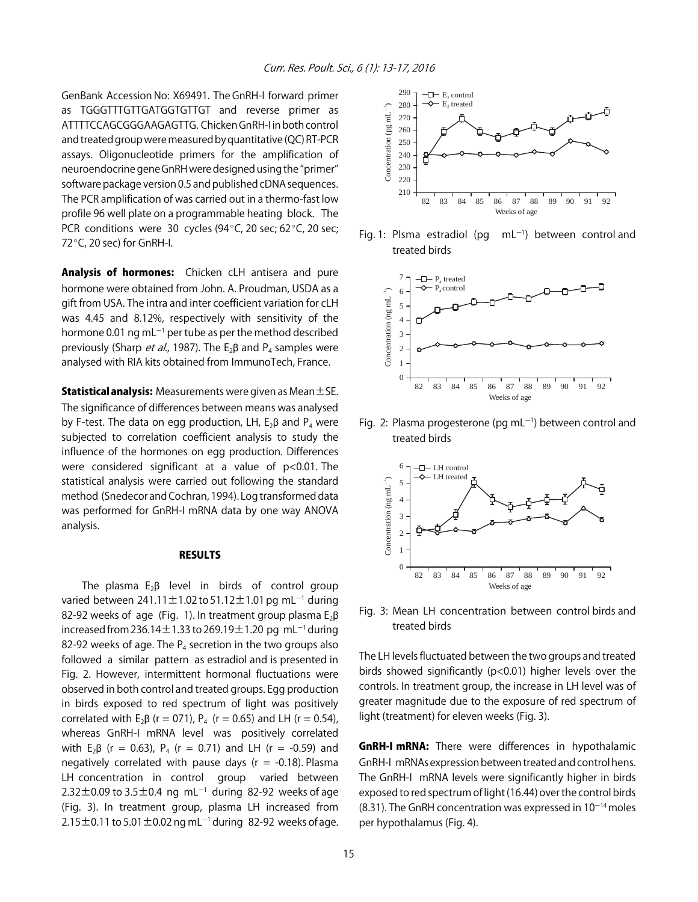GenBank Accession No: X69491. The GnRH-I forward primer as TGGGTTTGTTGATGGTGTTGT and reverse primer as ATTTTCCAGCGGGAAGAGTTG. Chicken GnRH-I in both control and treated group were measured by quantitative (QC) RT-PCR assays. Oligonucleotide primers for the amplification of neuroendocrine gene GnRH were designed using the "primer" software package version 0.5 and published cDNA sequences. The PCR amplification of was carried out in a thermo-fast low profile 96 well plate on a programmable heating block. The PCR conditions were 30 cycles (94 $^{\circ}$ C, 20 sec; 62 $^{\circ}$ C, 20 sec;  $72^{\circ}$ C, 20 sec) for GnRH-I.

Analysis of hormones: Chicken cLH antisera and pure hormone were obtained from John. A. Proudman, USDA as a gift from USA. The intra and inter coefficient variation for cLH was 4.45 and 8.12%, respectively with sensitivity of the hormone 0.01 ng mL $^{-1}$  per tube as per the method described previously (Sharp *et al.*, 1987). The  $E_2\beta$  and P<sub>4</sub> samples were analysed with RIA kits obtained from ImmunoTech, France.

**Statistical analysis:** Measurements were given as Mean $\pm$ SE. The significance of differences between means was analysed by F-test. The data on egg production, LH,  $E_2\beta$  and  $P_4$  were subjected to correlation coefficient analysis to study the influence of the hormones on egg production. Differences were considered significant at a value of p<0.01. The statistical analysis were carried out following the standard method (Snedecor and Cochran, 1994). Log transformed data was performed for GnRH-I mRNA data by one way ANOVA analysis.

#### RESULTS

The plasma  $E_2\beta$  level in birds of control group varied between  $241.11 \pm 1.02$  to  $51.12 \pm 1.01$  pg mL<sup>-1</sup> during 82-92 weeks of age (Fig. 1). In treatment group plasma  $E_2\beta$ increased from 236.14 $\pm$ 1.33 to 269.19 $\pm$ 1.20 pg mL<sup>-1</sup> during 82-92 weeks of age. The  $P_4$  secretion in the two groups also followed a similar pattern as estradiol and is presented in Fig. 2. However, intermittent hormonal fluctuations were observed in both control and treated groups. Egg production in birds exposed to red spectrum of light was positively correlated with  $E_2 \beta$  (r = 071),  $P_4$  (r = 0.65) and LH (r = 0.54), whereas GnRH-I mRNA level was positively correlated with E<sub>2</sub> $\beta$  (r = 0.63), P<sub>4</sub> (r = 0.71) and LH (r = -0.59) and negatively correlated with pause days ( $r = -0.18$ ). Plasma LH concentration in control group varied between  $2.32\pm0.09$  to  $3.5\pm0.4\,$  ng mL $^{-1}$  during 82-92 weeks of age (Fig. 3). In treatment group, plasma LH increased from  $2.15\pm$ 0.11 to 5.01  $\pm$ 0.02 ng mL $^{-1}$  during 82-92 weeks of age.



Fig. 1: Plsma estradiol (pg)  $mL^{-1}$ ) between control and treated birds



Fig. 2: Plasma progesterone (pg mL $^{-1}$ ) between control and treated birds



Fig. 3: Mean LH concentration between control birds and treated birds

The LH levels fluctuated between the two groups and treated birds showed significantly (p<0.01) higher levels over the controls. In treatment group, the increase in LH level was of greater magnitude due to the exposure of red spectrum of light (treatment) for eleven weeks (Fig. 3).

**GnRH-I mRNA:** There were differences in hypothalamic GnRH-I mRNAs expression between treated and control hens. The GnRH-I mRNA levels were significantly higher in birds exposed to red spectrum of light (16.44) over the control birds (8.31). The GnRH concentration was expressed in  $10^{-14}$  moles per hypothalamus (Fig. 4).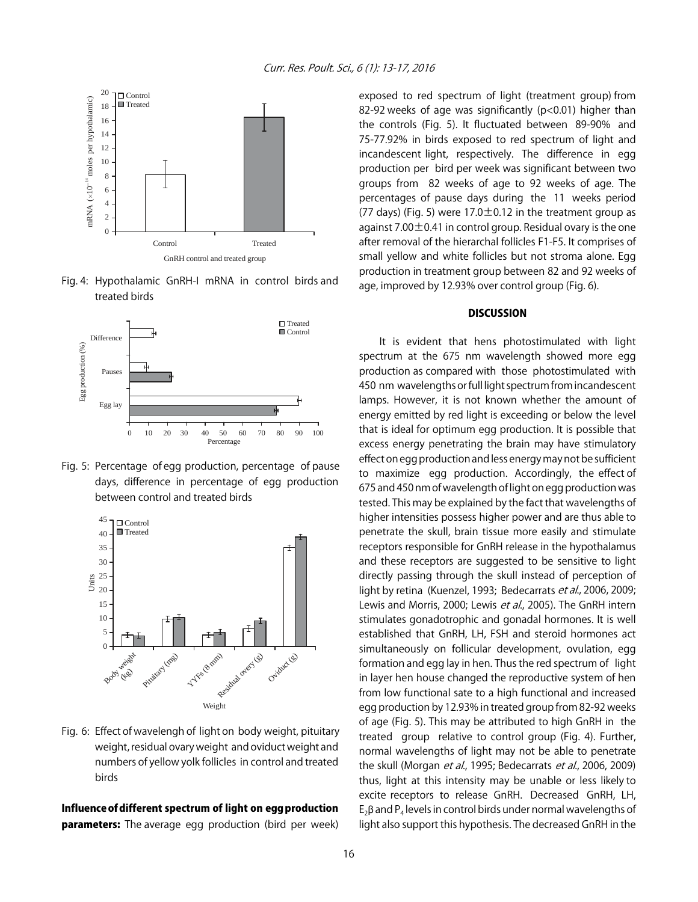

Fig. 4: Hypothalamic GnRH-I mRNA in control birds and treated birds



Fig. 5: Percentage of egg production, percentage of pause days, difference in percentage of egg production between control and treated birds



Fig. 6: Effect of wavelengh of light on body weight, pituitary weight, residual ovary weight and oviduct weight and numbers of yellow yolk follicles in control and treated birds

#### Influence of different spectrum of light on egg production **parameters:** The average egg production (bird per week)

exposed to red spectrum of light (treatment group) from 82-92 weeks of age was significantly (p<0.01) higher than the controls (Fig. 5). It fluctuated between 89-90% and 75-77.92% in birds exposed to red spectrum of light and incandescent light, respectively. The difference in egg production per bird per week was significant between two groups from 82 weeks of age to 92 weeks of age. The percentages of pause days during the 11 weeks period (77 days) (Fig. 5) were  $17.0 \pm 0.12$  in the treatment group as against 7.00 $\pm$ 0.41 in control group. Residual ovary is the one after removal of the hierarchal follicles F1-F5. It comprises of small yellow and white follicles but not stroma alone. Egg production in treatment group between 82 and 92 weeks of age, improved by 12.93% over control group (Fig. 6).

#### **DISCUSSION**

It is evident that hens photostimulated with light spectrum at the 675 nm wavelength showed more egg production as compared with those photostimulated with 450 nm wavelengths or full light spectrum from incandescent lamps. However, it is not known whether the amount of energy emitted by red light is exceeding or below the level that is ideal for optimum egg production. It is possible that excess energy penetrating the brain may have stimulatory effect on egg production and less energy may not be sufficient to maximize egg production. Accordingly, the effect of 675 and 450 nm of wavelength of light on egg production was tested. This may be explained by the fact that wavelengths of higher intensities possess higher power and are thus able to penetrate the skull, brain tissue more easily and stimulate receptors responsible for GnRH release in the hypothalamus and these receptors are suggested to be sensitive to light directly passing through the skull instead of perception of light by retina (Kuenzel, 1993; Bedecarrats et al., 2006, 2009; Lewis and Morris, 2000; Lewis et al., 2005). The GnRH intern stimulates gonadotrophic and gonadal hormones. It is well established that GnRH, LH, FSH and steroid hormones act simultaneously on follicular development, ovulation, egg formation and egg lay in hen. Thus the red spectrum of light in layer hen house changed the reproductive system of hen from low functional sate to a high functional and increased egg production by 12.93% in treated group from 82-92 weeks of age (Fig. 5). This may be attributed to high GnRH in the treated group relative to control group (Fig. 4). Further, normal wavelengths of light may not be able to penetrate the skull (Morgan et al., 1995; Bedecarrats et al., 2006, 2009) thus, light at this intensity may be unable or less likely to excite receptors to release GnRH. Decreased GnRH, LH,  $E_2$ B and P<sub>4</sub> levels in control birds under normal wavelengths of light also support this hypothesis. The decreased GnRH in the